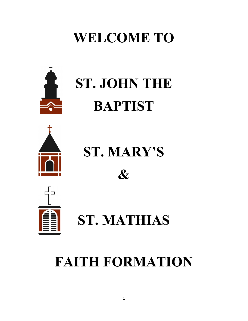## WELCOME TO



# ST. JOHN THE BAPTIST



ST. MARY'S





ST. MATHIAS

## FAITH FORMATION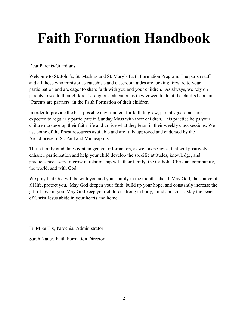## Faith Formation Handbook

Dear Parents/Guardians,

Welcome to St. John's, St. Mathias and St. Mary's Faith Formation Program. The parish staff and all those who minister as catechists and classroom aides are looking forward to your participation and are eager to share faith with you and your children. As always, we rely on parents to see to their children's religious education as they vowed to do at the child's baptism. "Parents are partners'' in the Faith Formation of their children.

In order to provide the best possible environment for faith to grow, parents/guardians are expected to regularly participate in Sunday Mass with their children. This practice helps your children to develop their faith-life and to live what they learn in their weekly class sessions. We use some of the finest resources available and are fully approved and endorsed by the Archdiocese of St. Paul and Minneapolis.

These family guidelines contain general information, as well as policies, that will positively enhance participation and help your child develop the specific attitudes, knowledge, and practices necessary to grow in relationship with their family, the Catholic Christian community, the world, and with God.

We pray that God will be with you and your family in the months ahead. May God, the source of all life, protect you. May God deepen your faith, build up your hope, and constantly increase the gift of love in you. May God keep your children strong in body, mind and spirit. May the peace of Christ Jesus abide in your hearts and home.

Fr. Mike Tix, Parochial Administrator

Sarah Nauer, Faith Formation Director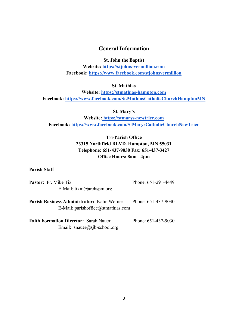#### General Information

#### St. John the Baptist

Website: https://stjohns-vermillion.com Facebook: https://www.facebook.com/stjohnsvermillion

#### St. Mathias

Website: https://stmathias-hampton.com Facebook: https://www.facebook.com/St.MathiasCatholicChurchHamptonMN

St. Mary's

Website: https://stmarys-newtrier.com Facebook: https://www.facebook.com/StMarysCatholicChurchNewTrier

## Tri-Parish Office 23315 Northfield BLVD. Hampton, MN 55031 Telephone: 651-437-9030 Fax: 651-437-3427 Office Hours: 8am - 4pm

#### Parish Staff

| <b>Pastor:</b> Fr. Mike Tix                                                                                  | Phone: 651-291-4449 |
|--------------------------------------------------------------------------------------------------------------|---------------------|
| E-Mail: $tixm@archspm.org$                                                                                   |                     |
| <b>Parish Business Administrator:</b> Katie Werner Phone: 651-437-9030<br>E-Mail: parishoffice@stmathias.com |                     |
| <b>Faith Formation Director: Sarah Nauer</b><br>Email: $snauer(a)sib-school.org$                             | Phone: 651-437-9030 |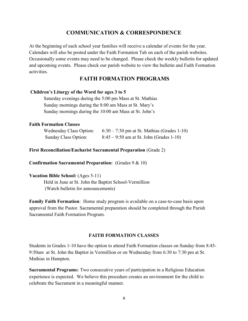### COMMUNICATION & CORRESPONDENCE

At the beginning of each school year families will receive a calendar of events for the year. Calendars will also be posted under the Faith Formation Tab on each of the parish websites. Occasionally some events may need to be changed. Please check the weekly bulletin for updated and upcoming events. Please check our parish website to view the bulletin and Faith Formation activities.

## FAITH FORMATION PROGRAMS

#### Children's Liturgy of the Word for ages 3 to 5

 Saturday evenings during the 5:00 pm Mass at St. Mathias Sunday mornings during the 8:00 am Mass at St. Mary's Sunday mornings during the 10:00 am Mass at St. John's

#### Faith Formation Classes

| Wednesday Class Option: | $6:30 - 7:30$ pm at St. Mathias (Grades 1-10) |
|-------------------------|-----------------------------------------------|
| Sunday Class Option:    | $8:45 - 9:50$ am at St. John (Grades 1-10)    |

#### First Reconciliation/Eucharist Sacramental Preparation (Grade 2)

Confirmation Sacramental Preparation: (Grades 9 & 10)

#### Vacation Bible School: (Ages 5-11)

 Held in June at St. John the Baptist School-Vermillion (Watch bulletin for announcements)

Family Faith Formation: Home study program is available on a case-to-case basis upon approval from the Pastor. Sacramental preparation should be completed through the Parish Sacramental Faith Formation Program.

#### FAITH FORMATION CLASSES

Students in Grades 1-10 have the option to attend Faith Formation classes on Sunday from 8:45- 9:50am at St. John the Baptist in Vermillion or on Wednesday from 6:30 to 7:30 pm at St. Mathias in Hampton.

Sacramental Programs: Two consecutive years of participation in a Religious Education experience is expected. We believe this procedure creates an environment for the child to celebrate the Sacrament in a meaningful manner.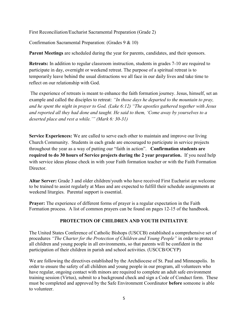First Reconciliation/Eucharist Sacramental Preparation (Grade 2)

Confirmation Sacramental Preparation: (Grades 9 & 10)

Parent Meetings are scheduled during the year for parents, candidates, and their sponsors.

Retreats: In addition to regular classroom instruction, students in grades 7-10 are required to participate in day, overnight or weekend retreat. The purpose of a spiritual retreat is to temporarily leave behind the usual distractions we all face in our daily lives and take time to reflect on our relationship with God.

 The experience of retreats is meant to enhance the faith formation journey. Jesus, himself, set an example and called the disciples to retreat: "In those days he departed to the mountain to pray, and he spent the night in prayer to God. (Luke 6:12) "The apostles gathered together with Jesus and reported all they had done and taught. He said to them, 'Come away by yourselves to a deserted place and rest a while.'" (Mark 6: 30-31)

Service Experiences: We are called to serve each other to maintain and improve our living Church Community. Students in each grade are encouraged to participate in service projects throughout the year as a way of putting our "faith in action". Confirmation students are required to do 30 hours of Service projects during the 2 year preparation. If you need help with service ideas please check in with your Faith formation teacher or with the Faith Formation Director.

Altar Server: Grade 3 and older children/youth who have received First Eucharist are welcome to be trained to assist regularly at Mass and are expected to fulfill their schedule assignments at weekend liturgies. Parental support is essential.

Prayer: The experience of different forms of prayer is a regular expectation in the Faith Formation process. A list of common prayers can be found on pages 12-15 of the handbook.

#### PROTECTION OF CHILDREN AND YOUTH INITIATIVE

The United States Conference of Catholic Bishops (USCCB) established a comprehensive set of procedures "The Charter for the Protection of Children and Young People" in order to protect all children and young people in all environments, so that parents will be confident in the participation of their children in parish and school activities. (USCCB/OCYP)

We are following the directives established by the Archdiocese of St. Paul and Minneapolis. In order to ensure the safety of all children and young people in our program, all volunteers who have regular, ongoing contact with minors are required to complete an adult safe environment training session (Virtus), submit to a background check and sign a Code of Conduct form. These must be completed and approved by the Safe Environment Coordinator before someone is able to volunteer.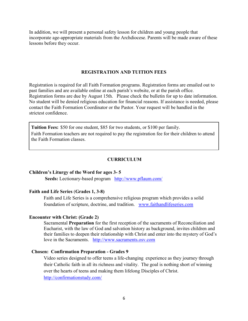In addition, we will present a personal safety lesson for children and young people that incorporate age-appropriate materials from the Archdiocese. Parents will be made aware of these lessons before they occur.

#### REGISTRATION AND TUITION FEES

Registration is required for all Faith Formation programs. Registration forms are emailed out to past families and are available online at each parish's website, or at the parish office. Registration forms are due by August 15th. Please check the bulletin for up to date information. No student will be denied religious education for financial reasons. If assistance is needed, please contact the Faith Formation Coordinator or the Pastor. Your request will be handled in the strictest confidence.

Tuition Fees: \$50 for one student, \$85 for two students, or \$100 per family. Faith Formation teachers are not required to pay the registration fee for their children to attend the Faith Formation classes.

#### CURRICULUM

#### Children's Liturgy of the Word for ages 3- 5

Seeds: Lectionary-based program http://www.pflaum.com/

#### Faith and Life Series (Grades 1, 3-8)

Faith and Life Series is a comprehensive religious program which provides a solid foundation of scripture, doctrine, and tradition. www.faithandlifeseries.com

#### Encounter with Christ: (Grade 2)

Sacramental Preparation for the first reception of the sacraments of Reconciliation and Eucharist, with the law of God and salvation history as background, invites children and their families to deepen their relationship with Christ and enter into the mystery of God's love in the Sacraments. http://www.sacraments.osv.com

#### Chosen: Confirmation Preparation - Grades 9

Video series designed to offer teens a life-changing experience as they journey through their Catholic faith in all its richness and vitality. The goal is nothing short of winning over the hearts of teens and making them lifelong Disciples of Christ. http://confirmationstudy.com/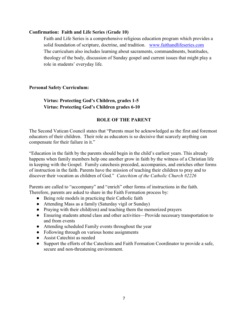#### Confirmation: Faith and Life Series (Grade 10)

Faith and Life Series is a comprehensive religious education program which provides a solid foundation of scripture, doctrine, and tradition. www.faithandlifeseries.com The curriculum also includes learning about sacraments, commandments, beatitudes, theology of the body, discussion of Sunday gospel and current issues that might play a role in students' everyday life.

#### Personal Safety Curriculum:

#### Virtus: Protecting God's Children, grades 1-5 Virtus: Protecting God's Children grades 6-10

#### ROLE OF THE PARENT

The Second Vatican Council states that "Parents must be acknowledged as the first and foremost educators of their children. Their role as educators is so decisive that scarcely anything can compensate for their failure in it."

"Education in the faith by the parents should begin in the child's earliest years. This already happens when family members help one another grow in faith by the witness of a Christian life in keeping with the Gospel. Family catechesis preceded, accompanies, and enriches other forms of instruction in the faith. Parents have the mission of teaching their children to pray and to discover their vocation as children of God." Catechism of the Catholic Church #2226

Parents are called to "accompany" and "enrich" other forms of instructions in the faith. Therefore, parents are asked to share in the Faith Formation process by:

- Being role models in practicing their Catholic faith
- Attending Mass as a family (Saturday vigil or Sunday)
- Praying with their child(ren) and teaching them the memorized prayers
- Ensuring students attend class and other activities—Provide necessary transportation to and from events
- Attending scheduled Family events throughout the year
- Following through on various home assignments
- Assist Catechist as needed
- Support the efforts of the Catechists and Faith Formation Coordinator to provide a safe, secure and non-threatening environment.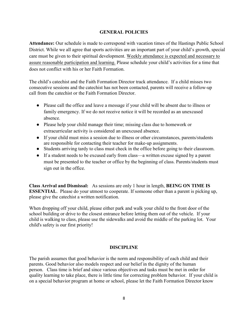#### GENERAL POLICIES

Attendance: Our schedule is made to correspond with vacation times of the Hastings Public School District. While we all agree that sports activities are an important part of your child's growth, special care must be given to their spiritual development. Weekly attendance is expected and necessary to assure reasonable participation and learning. Please schedule your child's activities for a time that does not conflict with his or her Faith Formation.

The child's catechist and the Faith Formation Director track attendance. If a child misses two consecutive sessions and the catechist has not been contacted, parents will receive a follow-up call from the catechist or the Faith Formation Director.

- Please call the office and leave a message if your child will be absent due to illness or family emergency. If we do not receive notice it will be recorded as an unexcused absence.
- Please help your child manage their time; missing class due to homework or extracurricular activity is considered an unexcused absence.
- If your child must miss a session due to illness or other circumstances, parents/students are responsible for contacting their teacher for make-up assignments.
- Students arriving tardy to class must check in the office before going to their classroom.
- If a student needs to be excused early from class—a written excuse signed by a parent must be presented to the teacher or office by the beginning of class. Parents/students must sign out in the office.

Class Arrival and Dismissal: As sessions are only 1 hour in length, BEING ON TIME IS ESSENTIAL. Please do your utmost to cooperate. If someone other than a parent is picking up, please give the catechist a written notification.

When dropping off your child, please either park and walk your child to the front door of the school building or drive to the closest entrance before letting them out of the vehicle. If your child is walking to class, please use the sidewalks and avoid the middle of the parking lot. Your child's safety is our first priority!

#### **DISCIPLINE**

The parish assumes that good behavior is the norm and responsibility of each child and their parents. Good behavior also models respect and our belief in the dignity of the human person. Class time is brief and since various objectives and tasks must be met in order for quality learning to take place, there is little time for correcting problem behavior. If your child is on a special behavior program at home or school, please let the Faith Formation Director know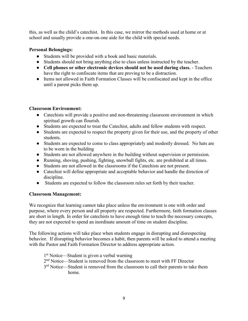this, as well as the child's catechist. In this case, we mirror the methods used at home or at school and usually provide a one-on-one aide for the child with special needs.

#### Personal Belongings:

- Students will be provided with a book and basic materials.
- Students should not bring anything else to class unless instructed by the teacher.
- Cell phones or other electronic devices should not be used during class. Teachers have the right to confiscate items that are proving to be a distraction.
- Items not allowed in Faith Formation Classes will be confiscated and kept in the office until a parent picks them up.

#### Classroom Environment:

- Catechists will provide a positive and non-threatening classroom environment in which spiritual growth can flourish.
- Students are expected to treat the Catechist, adults and fellow students with respect.
- Students are expected to respect the property given for their use, and the property of other students.
- Students are expected to come to class appropriately and modestly dressed. No hats are to be worn in the building
- Students are not allowed anywhere in the building without supervision or permission.
- Running, shoving, pushing, fighting, snowball fights, etc. are prohibited at all times.
- Students are not allowed in the classrooms if the Catechists are not present.
- Catechist will define appropriate and acceptable behavior and handle the direction of discipline.
- Students are expected to follow the classroom rules set forth by their teacher.

#### Classroom Management:

We recognize that learning cannot take place unless the environment is one with order and purpose, where every person and all property are respected. Furthermore, faith formation classes are short in length. In order for catechists to have enough time to teach the necessary concepts, they are not expected to spend an inordinate amount of time on student discipline.

The following actions will take place when students engage in disrupting and disrespecting behavior. If disrupting behavior becomes a habit, then parents will be asked to attend a meeting with the Pastor and Faith Formation Director to address appropriate action.

- 1<sup>st</sup> Notice—Student is given a verbal warning
- 2<sup>nd</sup> Notice—Student is removed from the classroom to meet with FF Director
- 3<sup>rd</sup> Notice—Student is removed from the classroom to call their parents to take them home.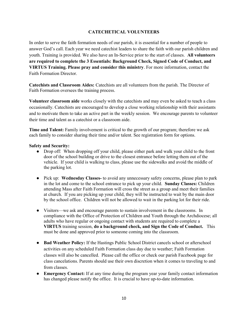#### CATECHETICAL VOLUNTEERS

In order to serve the faith formation needs of our parish, it is essential for a number of people to answer God's call. Each year we need catechist leaders to share the faith with our parish children and youth. Training is provided. We also have an In-Service prior to the start of classes. All volunteers are required to complete the 3 Essentials: Background Check, Signed Code of Conduct, and VIRTUS Training. Please pray and consider this ministry. For more information, contact the Faith Formation Director.

Catechists and Classroom Aides: Catechists are all volunteers from the parish. The Director of Faith Formation oversees the training process.

Volunteer classroom aide works closely with the catechists and may even be asked to teach a class occasionally. Catechists are encouraged to develop a close working relationship with their assistants and to motivate them to take an active part in the weekly session. We encourage parents to volunteer their time and talent as a catechist or a classroom aide.

Time and Talent: Family involvement is critical to the growth of our program; therefore we ask each family to consider sharing their time and/or talent. See registration form for options.

#### Safety and Security:

- Drop off: When dropping off your child, please either park and walk your child to the front door of the school building or drive to the closest entrance before letting them out of the vehicle. If your child is walking to class, please use the sidewalks and avoid the middle of the parking lot.
- Pick up: Wednesday Classes- to avoid any unnecessary safety concerns, please plan to park in the lot and come to the school entrance to pick up your child. Sunday Classes: Children attending Mass after Faith Formation will cross the street as a group and meet their families at church. If you are picking up your child, they will be instructed to wait by the main door by the school office. Children will not be allowed to wait in the parking lot for their ride.
- Visitors—we ask and encourage parents to sustain involvement in the classrooms. In compliance with the Office of Protection of Children and Youth through the Archdiocese; all adults who have regular or ongoing contact with students are required to complete a VIRTUS training session, do a background check, and Sign the Code of Conduct. This must be done and approved prior to someone coming into the classroom.
- Bad Weather Policy: If the Hastings Public School District cancels school or afterschool activities on any scheduled Faith Formation class day due to weather; Faith Formation classes will also be cancelled. Please call the office or check our parish Facebook page for class cancelations. Parents should use their own discretion when it comes to traveling to and from classes.
- Emergency Contact: If at any time during the program year your family contact information has changed please notify the office. It is crucial to have up-to-date information.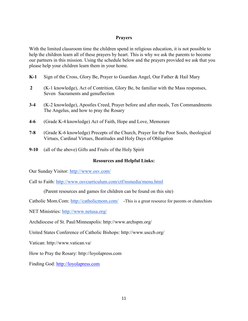#### Prayers

With the limited classroom time the children spend in religious education, it is not possible to help the children learn all of these prayers by heart. This is why we ask the parents to become our partners in this mission. Using the schedule below and the prayers provided we ask that you please help your children learn them in your home.

- K-1 Sign of the Cross, Glory Be, Prayer to Guardian Angel, Our Father & Hail Mary
- 2 (K-1 knowledge), Act of Contrition, Glory Be, be familiar with the Mass responses, Seven Sacraments and genuflection
- 3-4 (K-2 knowledge), Apostles Creed, Prayer before and after meals, Ten Commandments The Angelus, and how to pray the Rosary
- 4-6 (Grade K-4 knowledge) Act of Faith, Hope and Love, Memorare
- 7-8 (Grade K-6 knowledge) Precepts of the Church, Prayer for the Poor Souls, theological Virtues, Cardinal Virtues, Beatitudes and Holy Days of Obligation
- 9-10 (all of the above) Gifts and Fruits of the Holy Spirit

#### Resources and Helpful Links:

Our Sunday Visitor: http://www.osv.com/

Call to Faith: http://www.osvcurriculum.com/ctf/nsmedia/menu.html

(Parent resources and games for children can be found on this site)

Catholic Mom.Com: http://catholicmom.com/ -This is a great resource for parents or chatechists

NET Ministries: http://www.netusa.org/

Archdiocese of St. Paul/Minneapolis: http://www.archspm.org/

United States Conference of Catholic Bishops: http://www.usccb.org/

Vatican: http://www.vatican.va/

How to Pray the Rosary: http://loyolapress.com

Finding God: http://loyolapress.com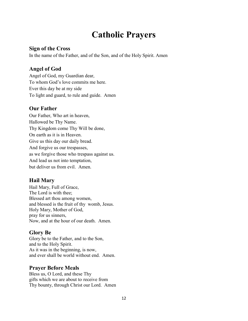## Catholic Prayers

## Sign of the Cross

In the name of the Father, and of the Son, and of the Holy Spirit. Amen

## Angel of God

Angel of God, my Guardian dear, To whom God's love commits me here. Ever this day be at my side To light and guard, to rule and guide. Amen

## Our Father

Our Father, Who art in heaven, Hallowed be Thy Name. Thy Kingdom come Thy Will be done, On earth as it is in Heaven. Give us this day our daily bread. And forgive us our trespasses, as we forgive those who trespass against us. And lead us not into temptation, but deliver us from evil. Amen.

## Hail Mary

Hail Mary, Full of Grace, The Lord is with thee; Blessed art thou among women, and blessed is the fruit of thy womb, Jesus. Holy Mary, Mother of God, pray for us sinners, Now, and at the hour of our death. Amen.

## Glory Be

Glory be to the Father, and to the Son, and to the Holy Spirit. As it was in the beginning, is now, and ever shall be world without end. Amen.

## Prayer Before Meals

Bless us, O Lord, and these Thy gifts which we are about to receive from Thy bounty, through Christ our Lord. Amen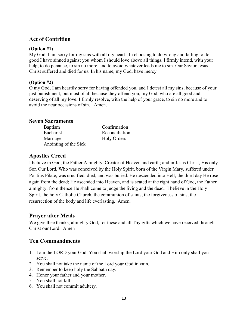## Act of Contrition

#### (Option #1)

My God, I am sorry for my sins with all my heart. In choosing to do wrong and failing to do good I have sinned against you whom I should love above all things. I firmly intend, with your help, to do penance, to sin no more, and to avoid whatever leads me to sin. Our Savior Jesus Christ suffered and died for us. In his name, my God, have mercy.

#### (Option #2)

O my God, I am heartily sorry for having offended you, and I detest all my sins, because of your just punishment, but most of all because they offend you, my God, who are all good and deserving of all my love. I firmly resolve, with the help of your grace, to sin no more and to avoid the near occasions of sin. Amen.

#### Seven Sacraments

| <b>Baptism</b>        |  |
|-----------------------|--|
| Eucharist             |  |
| Marriage              |  |
| Anointing of the Sick |  |

## Reconciliation Holy Orders

Confirmation

## Apostles Creed

I believe in God, the Father Almighty, Creator of Heaven and earth; and in Jesus Christ, His only Son Our Lord, Who was conceived by the Holy Spirit, born of the Virgin Mary, suffered under Pontius Pilate, was crucified, died, and was buried. He descended into Hell; the third day He rose again from the dead; He ascended into Heaven, and is seated at the right hand of God, the Father almighty; from thence He shall come to judge the living and the dead. I believe in the Holy Spirit, the holy Catholic Church, the communion of saints, the forgiveness of sins, the resurrection of the body and life everlasting. Amen.

## Prayer after Meals

We give thee thanks, almighty God, for these and all Thy gifts which we have received through Christ our Lord. Amen

## Ten Commandments

- 1. I am the LORD your God. You shall worship the Lord your God and Him only shall you serve.
- 2. You shall not take the name of the Lord your God in vain.
- 3. Remember to keep holy the Sabbath day.
- 4. Honor your father and your mother.
- 5. You shall not kill.
- 6. You shall not commit adultery.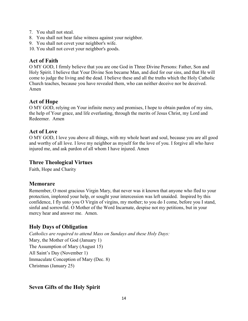- 7. You shall not steal.
- 8. You shall not bear false witness against your neighbor.
- 9. You shall not covet your neighbor's wife.
- 10. You shall not covet your neighbor's goods.

### Act of Faith

O MY GOD, I firmly believe that you are one God in Three Divine Persons: Father, Son and Holy Spirit. I believe that Your Divine Son became Man, and died for our sins, and that He will come to judge the living and the dead. I believe these and all the truths which the Holy Catholic Church teaches, because you have revealed them, who can neither deceive nor be deceived. Amen

#### Act of Hope

O MY GOD, relying on Your infinite mercy and promises, I hope to obtain pardon of my sins, the help of Your grace, and life everlasting, through the merits of Jesus Christ, my Lord and Redeemer. Amen

## Act of Love

O MY GOD, I love you above all things, with my whole heart and soul, because you are all good and worthy of all love. I love my neighbor as myself for the love of you. I forgive all who have injured me, and ask pardon of all whom I have injured. Amen

## Three Theological Virtues

Faith, Hope and Charity

#### Memorare

Remember, O most gracious Virgin Mary, that never was it known that anyone who fled to your protection, implored your help, or sought your intercession was left unaided. Inspired by this confidence, I fly unto you O Virgin of virgins, my mother; to you do I come, before you I stand, sinful and sorrowful. O Mother of the Word Incarnate, despise not my petitions, but in your mercy hear and answer me. Amen.

## Holy Days of Obligation

Catholics are required to attend Mass on Sundays and these Holy Days: Mary, the Mother of God (January 1) The Assumption of Mary (August 15) All Saint's Day (November 1) Immaculate Conception of Mary (Dec. 8) Christmas (January 25)

## Seven Gifts of the Holy Spirit